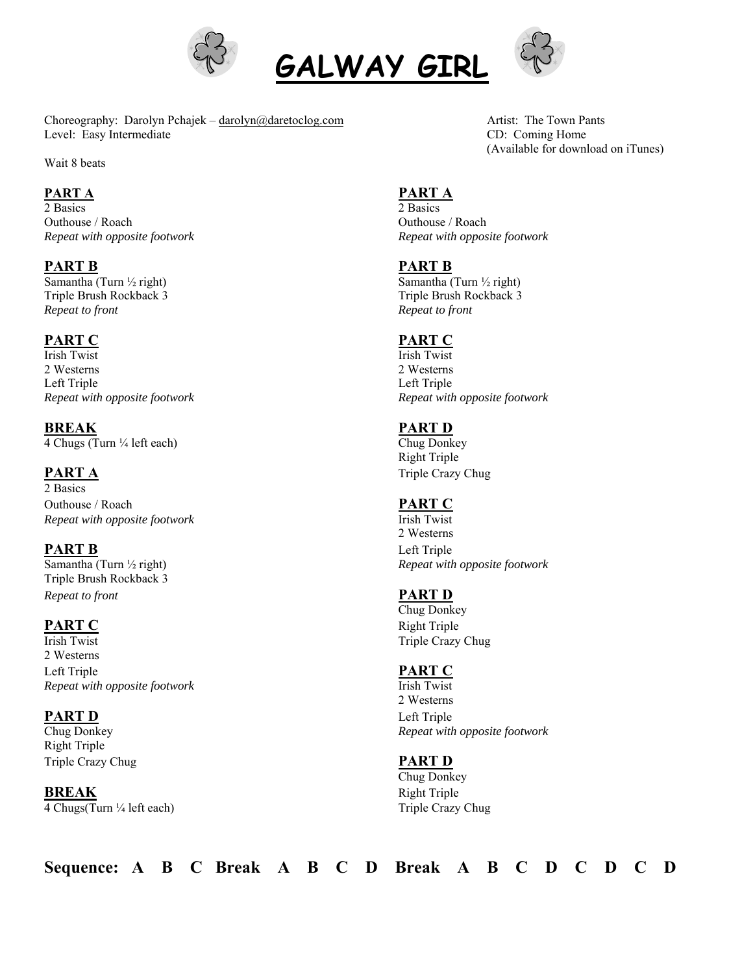





Choreography: Darolyn Pchajek – darolyn@daretoclog.com Artist: The Town Pants Level: Easy Intermediate CD: Coming Home

Wait 8 beats

**PART A**<br>2 Basics 2 **PART A** 2 Basics 2 Basics Outhouse / Roach Outhouse / Roach *Repeat with opposite footwork Repeat with opposite footwork* 

**PART B PART B** 

Triple Brush Rockback 3 Triple Brush Rockback 3 *Repeat to front Repeat to front*

Irish Twist Irish Twist 2 Westerns 2 Westerns Left Triple Left Triple *Repeat with opposite footwork Repeat with opposite footwork*

**BREAK** PART D 4 Chugs (Turn ¼ left each) Chug Donkey

2 Basics Outhouse / Roach **PART C** *Repeat with opposite footwork* Irish Twist

**PART B** Left Triple Triple Brush Rockback 3 *Repeat to front* **PART D** 

Irish Twist Triple Crazy Chug 2 Westerns Left Triple **PART C**  *Repeat with opposite footwork* Irish Twist

# **PART D** Left Triple

Right Triple Triple Crazy Chug **PART D** 

**BREAK** Right Triple 4 Chugs(Turn ¼ left each) Triple Crazy Chug

(Available for download on iTunes)

Samantha (Turn ½ right) Samantha (Turn ½ right)

# **PART C PART C**

 Right Triple **PART A** Triple Crazy Chug

2 Westerns Samantha (Turn ½ right) *Repeat with opposite footwork* 

 Chug Donkey **PART C** Right Triple

 2 Westerns Chug Donkey *Repeat with opposite footwork*

Chug Donkey

**Sequence: A B C Break A B C D Break A B C D C D C D**